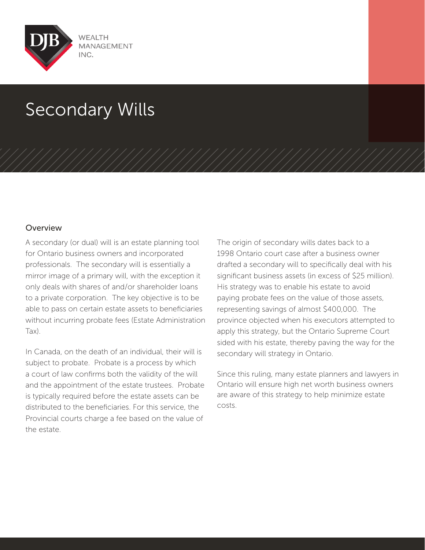

# Secondary Wills

## Overview

A secondary (or dual) will is an estate planning tool for Ontario business owners and incorporated professionals. The secondary will is essentially a mirror image of a primary will, with the exception it only deals with shares of and/or shareholder loans to a private corporation. The key objective is to be able to pass on certain estate assets to beneficiaries without incurring probate fees (Estate Administration Tax).

In Canada, on the death of an individual, their will is subject to probate. Probate is a process by which a court of law confirms both the validity of the will and the appointment of the estate trustees. Probate is typically required before the estate assets can be distributed to the beneficiaries. For this service, the Provincial courts charge a fee based on the value of the estate.

The origin of secondary wills dates back to a 1998 Ontario court case after a business owner drafted a secondary will to specifically deal with his significant business assets (in excess of \$25 million). His strategy was to enable his estate to avoid paying probate fees on the value of those assets, representing savings of almost \$400,000. The province objected when his executors attempted to apply this strategy, but the Ontario Supreme Court sided with his estate, thereby paving the way for the secondary will strategy in Ontario.

Since this ruling, many estate planners and lawyers in Ontario will ensure high net worth business owners are aware of this strategy to help minimize estate costs.